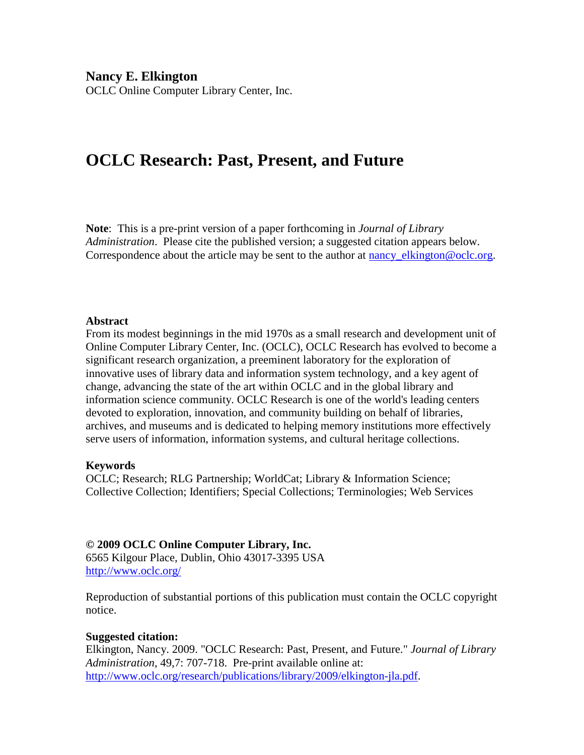**Nancy E. Elkington** OCLC Online Computer Library Center, Inc.

# **OCLC Research: Past, Present, and Future**

**Note**: This is a pre-print version of a paper forthcoming in *Journal of Library Administration*. Please cite the published version; a suggested citation appears below. Correspondence about the article may be sent to the author at [nancy\\_elkington@oclc.org.](mailto:nancy_elkington@oclc.org)

#### **Abstract**

From its modest beginnings in the mid 1970s as a small research and development unit of Online Computer Library Center, Inc. (OCLC), OCLC Research has evolved to become a significant research organization, a preeminent laboratory for the exploration of innovative uses of library data and information system technology, and a key agent of change, advancing the state of the art within OCLC and in the global library and information science community. OCLC Research is one of the world's leading centers devoted to exploration, innovation, and community building on behalf of libraries, archives, and museums and is dedicated to helping memory institutions more effectively serve users of information, information systems, and cultural heritage collections.

#### **Keywords**

OCLC; Research; RLG Partnership; WorldCat; Library & Information Science; Collective Collection; Identifiers; Special Collections; Terminologies; Web Services

**© 2009 OCLC Online Computer Library, Inc.** 6565 Kilgour Place, Dublin, Ohio 43017-3395 USA

<http://www.oclc.org/>

Reproduction of substantial portions of this publication must contain the OCLC copyright notice.

#### **Suggested citation:**

Elkington, Nancy. 2009. "OCLC Research: Past, Present, and Future." *Journal of Library Administration*, 49,7: 707-718. Pre-print available online at: [http://www.oclc.org/research/publications/library/2009/elkington-jla.pdf.](http://www.oclc.org/research/publications/library/2009/elkington-jla.pdf)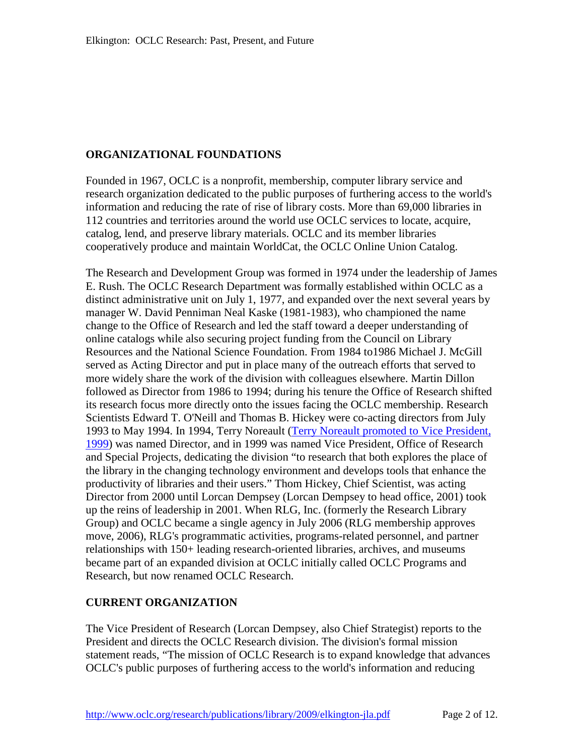### **ORGANIZATIONAL FOUNDATIONS**

Founded in 1967, OCLC is a nonprofit, membership, computer library service and research organization dedicated to the public purposes of furthering access to the world's information and reducing the rate of rise of library costs. More than 69,000 libraries in 112 countries and territories around the world use OCLC services to locate, acquire, catalog, lend, and preserve library materials. OCLC and its member libraries cooperatively produce and maintain WorldCat, the OCLC Online Union Catalog.

The Research and Development Group was formed in 1974 under the leadership of James E. Rush. The OCLC Research Department was formally established within OCLC as a distinct administrative unit on July 1, 1977, and expanded over the next several years by manager W. David Penniman Neal Kaske (1981-1983), who championed the name change to the Office of Research and led the staff toward a deeper understanding of online catalogs while also securing project funding from the Council on Library Resources and the National Science Foundation. From 1984 to1986 Michael J. McGill served as Acting Director and put in place many of the outreach efforts that served to more widely share the work of the division with colleagues elsewhere. Martin Dillon followed as Director from 1986 to 1994; during his tenure the Office of Research shifted its research focus more directly onto the issues facing the OCLC membership. Research Scientists Edward T. O'Neill and Thomas B. Hickey were co-acting directors from July 1993 to May 1994. In 1994, Terry Noreault [\(Terry Noreault promoted to Vice President,](http://www.informaworld.com/smpp/section?content=a915927939&fulltext=713240928#CIT0032)  [1999\)](http://www.informaworld.com/smpp/section?content=a915927939&fulltext=713240928#CIT0032) was named Director, and in 1999 was named Vice President, Office of Research and Special Projects, dedicating the division "to research that both explores the place of the library in the changing technology environment and develops tools that enhance the productivity of libraries and their users." Thom Hickey, Chief Scientist, was acting Director from 2000 until Lorcan Dempsey (Lorcan Dempsey to head office, 2001) took up the reins of leadership in 2001. When RLG, Inc. (formerly the Research Library Group) and OCLC became a single agency in July 2006 (RLG membership approves move, 2006), RLG's programmatic activities, programs-related personnel, and partner relationships with 150+ leading research-oriented libraries, archives, and museums became part of an expanded division at OCLC initially called OCLC Programs and Research, but now renamed OCLC Research.

#### **CURRENT ORGANIZATION**

The Vice President of Research (Lorcan Dempsey, also Chief Strategist) reports to the President and directs the OCLC Research division. The division's formal mission statement reads, "The mission of OCLC Research is to expand knowledge that advances OCLC's public purposes of furthering access to the world's information and reducing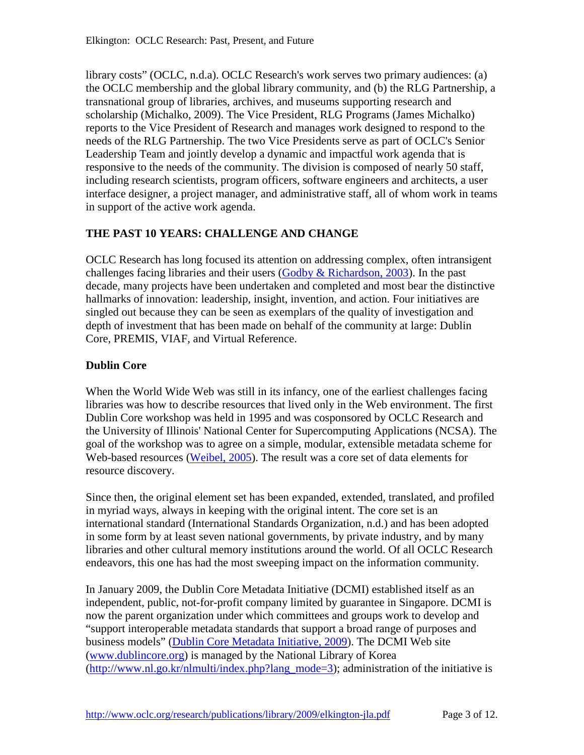library costs" (OCLC, n.d.a). OCLC Research's work serves two primary audiences: (a) the OCLC membership and the global library community, and (b) the RLG Partnership, a transnational group of libraries, archives, and museums supporting research and scholarship (Michalko, 2009). The Vice President, RLG Programs (James Michalko) reports to the Vice President of Research and manages work designed to respond to the needs of the RLG Partnership. The two Vice Presidents serve as part of OCLC's Senior Leadership Team and jointly develop a dynamic and impactful work agenda that is responsive to the needs of the community. The division is composed of nearly 50 staff, including research scientists, program officers, software engineers and architects, a user interface designer, a project manager, and administrative staff, all of whom work in teams in support of the active work agenda.

# **THE PAST 10 YEARS: CHALLENGE AND CHANGE**

OCLC Research has long focused its attention on addressing complex, often intransigent challenges facing libraries and their users (Godby  $& Richardson, 2003$ ). In the past decade, many projects have been undertaken and completed and most bear the distinctive hallmarks of innovation: leadership, insight, invention, and action. Four initiatives are singled out because they can be seen as exemplars of the quality of investigation and depth of investment that has been made on behalf of the community at large: Dublin Core, PREMIS, VIAF, and Virtual Reference.

# **Dublin Core**

When the World Wide Web was still in its infancy, one of the earliest challenges facing libraries was how to describe resources that lived only in the Web environment. The first Dublin Core workshop was held in 1995 and was cosponsored by OCLC Research and the University of Illinois' National Center for Supercomputing Applications (NCSA). The goal of the workshop was to agree on a simple, modular, extensible metadata scheme for Web-based resources [\(Weibel, 2005\)](http://www.informaworld.com/smpp/section?content=a915927939&fulltext=713240928#CIT0035). The result was a core set of data elements for resource discovery.

Since then, the original element set has been expanded, extended, translated, and profiled in myriad ways, always in keeping with the original intent. The core set is an international standard (International Standards Organization, n.d.) and has been adopted in some form by at least seven national governments, by private industry, and by many libraries and other cultural memory institutions around the world. Of all OCLC Research endeavors, this one has had the most sweeping impact on the information community.

In January 2009, the Dublin Core Metadata Initiative (DCMI) established itself as an independent, public, not-for-profit company limited by guarantee in Singapore. DCMI is now the parent organization under which committees and groups work to develop and "support interoperable metadata standards that support a broad range of purposes and business models" [\(Dublin Core Metadata Initiative, 2009\)](http://www.informaworld.com/smpp/section?content=a915927939&fulltext=713240928#CIT0006). The DCMI Web site [\(www.dublincore.org\)](http://www.dublincore.org/) is managed by the National Library of Korea  $(\text{http://www.nl.gov.kr/nlmulti/index.php?lang mode=3});$  administration of the initiative is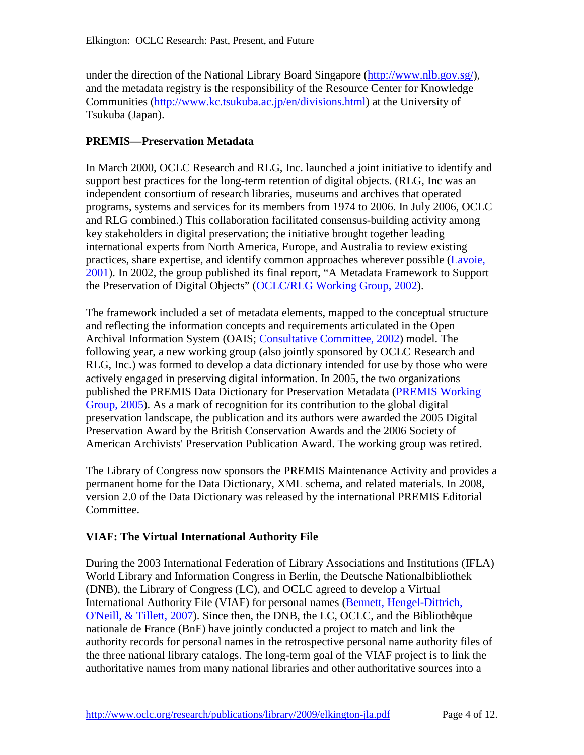under the direction of the National Library Board Singapore [\(http://www.nlb.gov.sg/\)](http://www.nlb.gov.sg/), and the metadata registry is the responsibility of the Resource Center for Knowledge Communities [\(http://www.kc.tsukuba.ac.jp/en/divisions.html\)](http://www.kc.tsukuba.ac.jp/en/divisions.html) at the University of Tsukuba (Japan).

### **PREMIS—Preservation Metadata**

In March 2000, OCLC Research and RLG, Inc. launched a joint initiative to identify and support best practices for the long-term retention of digital objects. (RLG, Inc was an independent consortium of research libraries, museums and archives that operated programs, systems and services for its members from 1974 to 2006. In July 2006, OCLC and RLG combined.) This collaboration facilitated consensus-building activity among key stakeholders in digital preservation; the initiative brought together leading international experts from North America, Europe, and Australia to review existing practices, share expertise, and identify common approaches wherever possible [\(Lavoie,](http://www.informaworld.com/smpp/section?content=a915927939&fulltext=713240928#CIT0012)  [2001\)](http://www.informaworld.com/smpp/section?content=a915927939&fulltext=713240928#CIT0012). In 2002, the group published its final report, "A Metadata Framework to Support the Preservation of Digital Objects" [\(OCLC/RLG Working Group, 2002\)](http://www.informaworld.com/smpp/section?content=a915927939&fulltext=713240928#CIT0025).

The framework included a set of metadata elements, mapped to the conceptual structure and reflecting the information concepts and requirements articulated in the Open Archival Information System (OAIS; [Consultative Committee, 2002\)](http://www.informaworld.com/smpp/section?content=a915927939&fulltext=713240928#CIT0004) model. The following year, a new working group (also jointly sponsored by OCLC Research and RLG, Inc.) was formed to develop a data dictionary intended for use by those who were actively engaged in preserving digital information. In 2005, the two organizations published the PREMIS Data Dictionary for Preservation Metadata [\(PREMIS Working](http://www.informaworld.com/smpp/section?content=a915927939&fulltext=713240928#CIT0028)  [Group, 2005\)](http://www.informaworld.com/smpp/section?content=a915927939&fulltext=713240928#CIT0028). As a mark of recognition for its contribution to the global digital preservation landscape, the publication and its authors were awarded the 2005 Digital Preservation Award by the British Conservation Awards and the 2006 Society of American Archivists' Preservation Publication Award. The working group was retired.

The Library of Congress now sponsors the PREMIS Maintenance Activity and provides a permanent home for the Data Dictionary, XML schema, and related materials. In 2008, version 2.0 of the Data Dictionary was released by the international PREMIS Editorial Committee.

# **VIAF: The Virtual International Authority File**

During the 2003 International Federation of Library Associations and Institutions (IFLA) World Library and Information Congress in Berlin, the Deutsche Nationalbibliothek (DNB), the Library of Congress (LC), and OCLC agreed to develop a Virtual International Authority File (VIAF) for personal names [\(Bennett, Hengel-Dittrich,](http://www.informaworld.com/smpp/section?content=a915927939&fulltext=713240928#CIT0002)  [O'Neill, & Tillett, 2007\)](http://www.informaworld.com/smpp/section?content=a915927939&fulltext=713240928#CIT0002). Since then, the DNB, the LC, OCLC, and the Biblioth eque nationale de France (BnF) have jointly conducted a project to match and link the authority records for personal names in the retrospective personal name authority files of the three national library catalogs. The long-term goal of the VIAF project is to link the authoritative names from many national libraries and other authoritative sources into a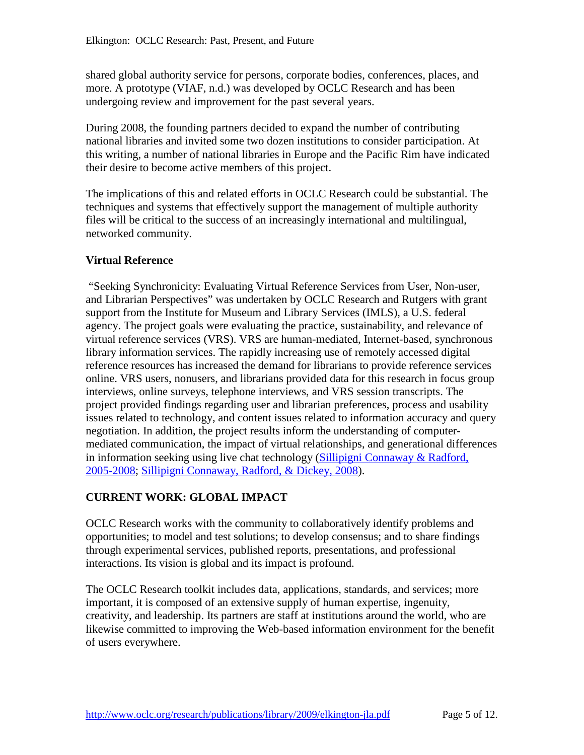shared global authority service for persons, corporate bodies, conferences, places, and more. A prototype (VIAF, n.d.) was developed by OCLC Research and has been undergoing review and improvement for the past several years.

During 2008, the founding partners decided to expand the number of contributing national libraries and invited some two dozen institutions to consider participation. At this writing, a number of national libraries in Europe and the Pacific Rim have indicated their desire to become active members of this project.

The implications of this and related efforts in OCLC Research could be substantial. The techniques and systems that effectively support the management of multiple authority files will be critical to the success of an increasingly international and multilingual, networked community.

# **Virtual Reference**

"Seeking Synchronicity: Evaluating Virtual Reference Services from User, Non-user, and Librarian Perspectives" was undertaken by OCLC Research and Rutgers with grant support from the Institute for Museum and Library Services (IMLS), a U.S. federal agency. The project goals were evaluating the practice, sustainability, and relevance of virtual reference services (VRS). VRS are human-mediated, Internet-based, synchronous library information services. The rapidly increasing use of remotely accessed digital reference resources has increased the demand for librarians to provide reference services online. VRS users, nonusers, and librarians provided data for this research in focus group interviews, online surveys, telephone interviews, and VRS session transcripts. The project provided findings regarding user and librarian preferences, process and usability issues related to technology, and content issues related to information accuracy and query negotiation. In addition, the project results inform the understanding of computermediated communication, the impact of virtual relationships, and generational differences in information seeking using live chat technology [\(Sillipigni Connaway & Radford,](http://www.informaworld.com/smpp/section?content=a915927939&fulltext=713240928#CIT0030)  [2005-2008;](http://www.informaworld.com/smpp/section?content=a915927939&fulltext=713240928#CIT0030) [Sillipigni Connaway, Radford, & Dickey, 2008\)](http://www.informaworld.com/smpp/section?content=a915927939&fulltext=713240928#CIT0031).

# **CURRENT WORK: GLOBAL IMPACT**

OCLC Research works with the community to collaboratively identify problems and opportunities; to model and test solutions; to develop consensus; and to share findings through experimental services, published reports, presentations, and professional interactions. Its vision is global and its impact is profound.

The OCLC Research toolkit includes data, applications, standards, and services; more important, it is composed of an extensive supply of human expertise, ingenuity, creativity, and leadership. Its partners are staff at institutions around the world, who are likewise committed to improving the Web-based information environment for the benefit of users everywhere.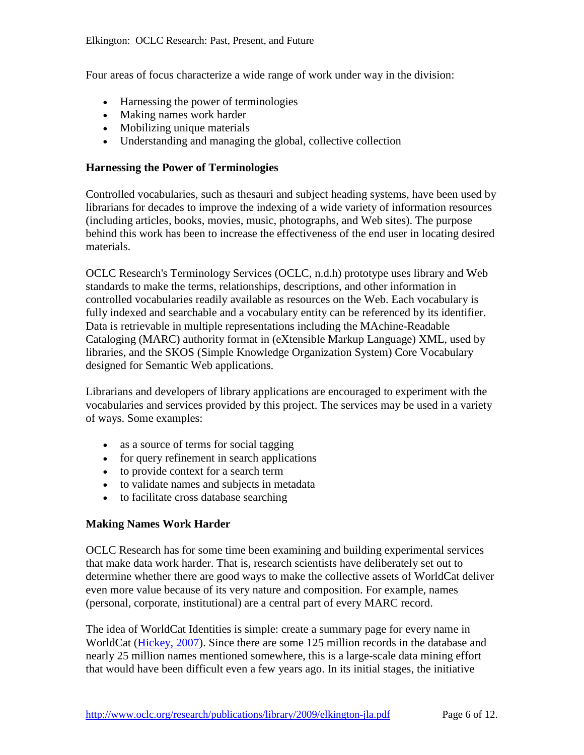Four areas of focus characterize a wide range of work under way in the division:

- Harnessing the power of terminologies
- Making names work harder
- Mobilizing unique materials
- Understanding and managing the global, collective collection

#### **Harnessing the Power of Terminologies**

Controlled vocabularies, such as thesauri and subject heading systems, have been used by librarians for decades to improve the indexing of a wide variety of information resources (including articles, books, movies, music, photographs, and Web sites). The purpose behind this work has been to increase the effectiveness of the end user in locating desired materials.

OCLC Research's Terminology Services (OCLC, n.d.h) prototype uses library and Web standards to make the terms, relationships, descriptions, and other information in controlled vocabularies readily available as resources on the Web. Each vocabulary is fully indexed and searchable and a vocabulary entity can be referenced by its identifier. Data is retrievable in multiple representations including the MAchine-Readable Cataloging (MARC) authority format in (eXtensible Markup Language) XML, used by libraries, and the SKOS (Simple Knowledge Organization System) Core Vocabulary designed for Semantic Web applications.

Librarians and developers of library applications are encouraged to experiment with the vocabularies and services provided by this project. The services may be used in a variety of ways. Some examples:

- as a source of terms for social tagging
- for query refinement in search applications
- to provide context for a search term
- to validate names and subjects in metadata
- to facilitate cross database searching

#### **Making Names Work Harder**

OCLC Research has for some time been examining and building experimental services that make data work harder. That is, research scientists have deliberately set out to determine whether there are good ways to make the collective assets of WorldCat deliver even more value because of its very nature and composition. For example, names (personal, corporate, institutional) are a central part of every MARC record.

The idea of WorldCat Identities is simple: create a summary page for every name in WorldCat [\(Hickey, 2007\)](http://www.informaworld.com/smpp/section?content=a915927939&fulltext=713240928#CIT0009). Since there are some 125 million records in the database and nearly 25 million names mentioned somewhere, this is a large-scale data mining effort that would have been difficult even a few years ago. In its initial stages, the initiative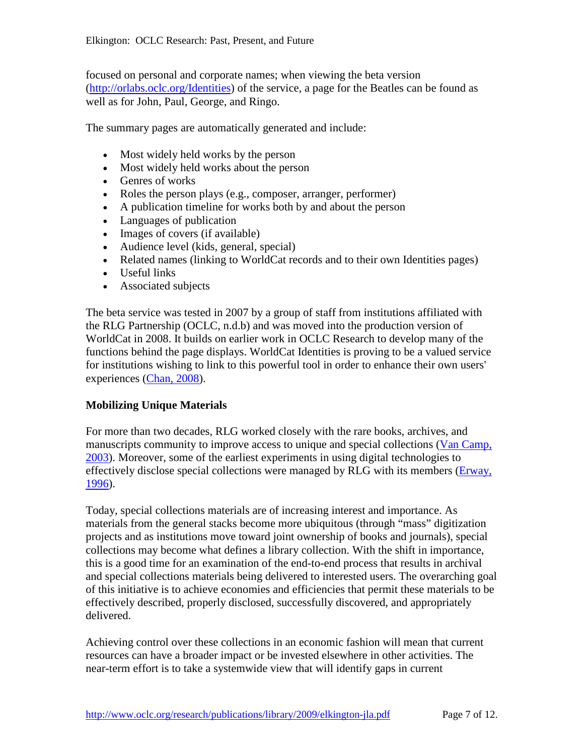focused on personal and corporate names; when viewing the beta version [\(http://orlabs.oclc.org/Identities\)](http://orlabs.oclc.org/Identities) of the service, a page for the Beatles can be found as well as for John, Paul, George, and Ringo.

The summary pages are automatically generated and include:

- Most widely held works by the person
- Most widely held works about the person
- Genres of works
- Roles the person plays (e.g., composer, arranger, performer)
- A publication timeline for works both by and about the person
- Languages of publication
- Images of covers (if available)
- Audience level (kids, general, special)
- Related names (linking to WorldCat records and to their own Identities pages)
- Useful links
- Associated subjects

The beta service was tested in 2007 by a group of staff from institutions affiliated with the RLG Partnership (OCLC, n.d.b) and was moved into the production version of WorldCat in 2008. It builds on earlier work in OCLC Research to develop many of the functions behind the page displays. WorldCat Identities is proving to be a valued service for institutions wishing to link to this powerful tool in order to enhance their own users' experiences [\(Chan, 2008\)](http://www.informaworld.com/smpp/section?content=a915927939&fulltext=713240928#CIT0003).

#### **Mobilizing Unique Materials**

For more than two decades, RLG worked closely with the rare books, archives, and manuscripts community to improve access to unique and special collections [\(Van Camp,](http://www.informaworld.com/smpp/section?content=a915927939&fulltext=713240928#CIT0033)  [2003\)](http://www.informaworld.com/smpp/section?content=a915927939&fulltext=713240928#CIT0033). Moreover, some of the earliest experiments in using digital technologies to effectively disclose special collections were managed by RLG with its members (Erway, [1996\)](http://www.informaworld.com/smpp/section?content=a915927939&fulltext=713240928#CIT0007).

Today, special collections materials are of increasing interest and importance. As materials from the general stacks become more ubiquitous (through "mass" digitization projects and as institutions move toward joint ownership of books and journals), special collections may become what defines a library collection. With the shift in importance, this is a good time for an examination of the end-to-end process that results in archival and special collections materials being delivered to interested users. The overarching goal of this initiative is to achieve economies and efficiencies that permit these materials to be effectively described, properly disclosed, successfully discovered, and appropriately delivered.

Achieving control over these collections in an economic fashion will mean that current resources can have a broader impact or be invested elsewhere in other activities. The near-term effort is to take a systemwide view that will identify gaps in current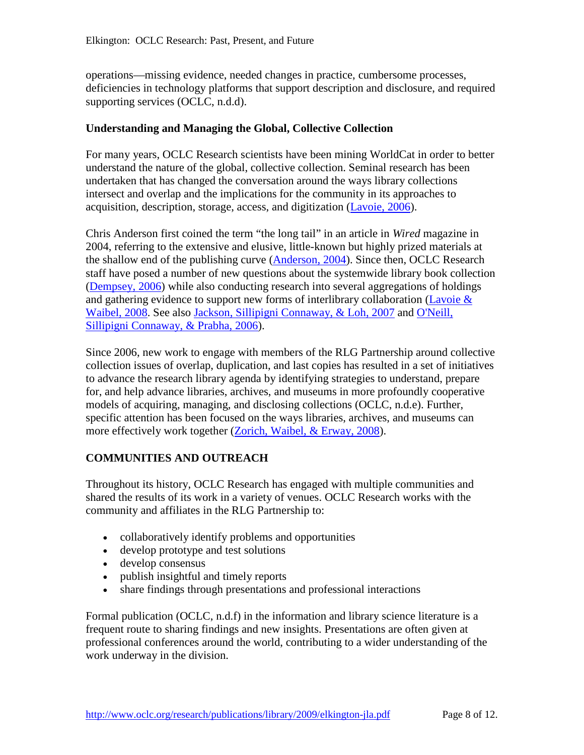operations—missing evidence, needed changes in practice, cumbersome processes, deficiencies in technology platforms that support description and disclosure, and required supporting services (OCLC, n.d.d).

#### **Understanding and Managing the Global, Collective Collection**

For many years, OCLC Research scientists have been mining WorldCat in order to better understand the nature of the global, collective collection. Seminal research has been undertaken that has changed the conversation around the ways library collections intersect and overlap and the implications for the community in its approaches to acquisition, description, storage, access, and digitization [\(Lavoie, 2006\)](http://www.informaworld.com/smpp/section?content=a915927939&fulltext=713240928#CIT0013).

Chris Anderson first coined the term "the long tail" in an article in *Wired* magazine in 2004, referring to the extensive and elusive, little-known but highly prized materials at the shallow end of the publishing curve [\(Anderson, 2004\)](http://www.informaworld.com/smpp/section?content=a915927939&fulltext=713240928#CIT0001). Since then, OCLC Research staff have posed a number of new questions about the systemwide library book collection [\(Dempsey, 2006\)](http://www.informaworld.com/smpp/section?content=a915927939&fulltext=713240928#CIT0005) while also conducting research into several aggregations of holdings and gathering evidence to support new forms of interlibrary collaboration (Lavoie  $\&$ [Waibel, 2008.](http://www.informaworld.com/smpp/section?content=a915927939&fulltext=713240928#CIT0014) See also [Jackson, Sillipigni Connaway, & Loh, 2007](http://www.informaworld.com/smpp/section?content=a915927939&fulltext=713240928#CIT0011) and [O'Neill,](http://www.informaworld.com/smpp/section?content=a915927939&fulltext=713240928#CIT0026)  [Sillipigni Connaway, & Prabha, 2006\)](http://www.informaworld.com/smpp/section?content=a915927939&fulltext=713240928#CIT0026).

Since 2006, new work to engage with members of the RLG Partnership around collective collection issues of overlap, duplication, and last copies has resulted in a set of initiatives to advance the research library agenda by identifying strategies to understand, prepare for, and help advance libraries, archives, and museums in more profoundly cooperative models of acquiring, managing, and disclosing collections (OCLC, n.d.e). Further, specific attention has been focused on the ways libraries, archives, and museums can more effectively work together [\(Zorich, Waibel, & Erway, 2008\)](http://www.informaworld.com/smpp/section?content=a915927939&fulltext=713240928#CIT0036).

# **COMMUNITIES AND OUTREACH**

Throughout its history, OCLC Research has engaged with multiple communities and shared the results of its work in a variety of venues. OCLC Research works with the community and affiliates in the RLG Partnership to:

- collaboratively identify problems and opportunities
- develop prototype and test solutions
- develop consensus
- publish insightful and timely reports
- share findings through presentations and professional interactions

Formal publication (OCLC, n.d.f) in the information and library science literature is a frequent route to sharing findings and new insights. Presentations are often given at professional conferences around the world, contributing to a wider understanding of the work underway in the division.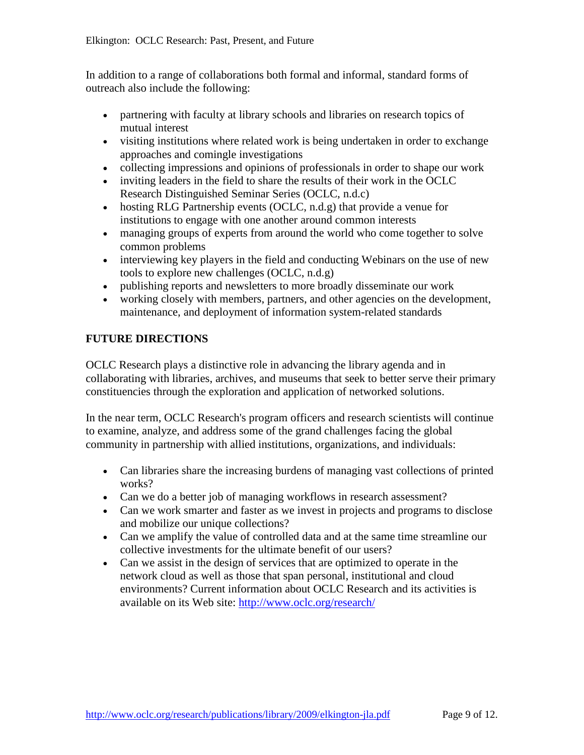In addition to a range of collaborations both formal and informal, standard forms of outreach also include the following:

- partnering with faculty at library schools and libraries on research topics of mutual interest
- visiting institutions where related work is being undertaken in order to exchange approaches and comingle investigations
- collecting impressions and opinions of professionals in order to shape our work
- inviting leaders in the field to share the results of their work in the OCLC Research Distinguished Seminar Series (OCLC, n.d.c)
- hosting RLG Partnership events (OCLC, n.d.g) that provide a venue for institutions to engage with one another around common interests
- managing groups of experts from around the world who come together to solve common problems
- interviewing key players in the field and conducting Webinars on the use of new tools to explore new challenges (OCLC, n.d.g)
- publishing reports and newsletters to more broadly disseminate our work
- working closely with members, partners, and other agencies on the development, maintenance, and deployment of information system-related standards

# **FUTURE DIRECTIONS**

OCLC Research plays a distinctive role in advancing the library agenda and in collaborating with libraries, archives, and museums that seek to better serve their primary constituencies through the exploration and application of networked solutions.

In the near term, OCLC Research's program officers and research scientists will continue to examine, analyze, and address some of the grand challenges facing the global community in partnership with allied institutions, organizations, and individuals:

- Can libraries share the increasing burdens of managing vast collections of printed works?
- Can we do a better job of managing workflows in research assessment?
- Can we work smarter and faster as we invest in projects and programs to disclose and mobilize our unique collections?
- Can we amplify the value of controlled data and at the same time streamline our collective investments for the ultimate benefit of our users?
- Can we assist in the design of services that are optimized to operate in the network cloud as well as those that span personal, institutional and cloud environments? Current information about OCLC Research and its activities is available on its Web site:<http://www.oclc.org/research/>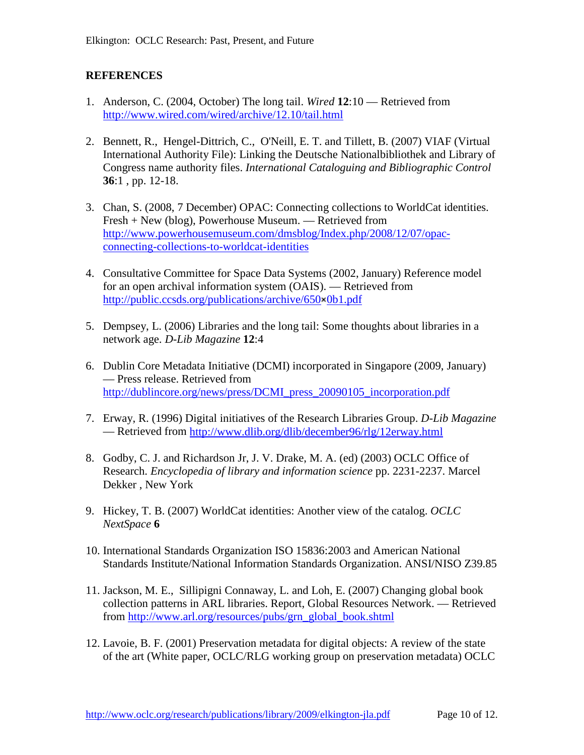### **REFERENCES**

- 1. Anderson, C. (2004, October) The long tail. *Wired* **12**:10 Retrieved from <http://www.wired.com/wired/archive/12.10/tail.html>
- 2. Bennett, R., Hengel-Dittrich, C., O'Neill, E. T. and Tillett, B. (2007) VIAF (Virtual International Authority File): Linking the Deutsche Nationalbibliothek and Library of Congress name authority files. *International Cataloguing and Bibliographic Control* **36**:1 , pp. 12-18.
- 3. Chan, S. (2008, 7 December) OPAC: Connecting collections to WorldCat identities. Fresh + New (blog), Powerhouse Museum. — Retrieved from [http://www.powerhousemuseum.com/dmsblog/Index.php/2008/12/07/opac](http://www.powerhousemuseum.com/dmsblog/Index.php/2008/12/07/opac-connecting-collections-to-worldcat-identities)[connecting-collections-to-worldcat-identities](http://www.powerhousemuseum.com/dmsblog/Index.php/2008/12/07/opac-connecting-collections-to-worldcat-identities)
- 4. Consultative Committee for Space Data Systems (2002, January) Reference model for an open archival information system (OAIS). — Retrieved from [http://public.ccsds.org/publications/archive/650](http://public.ccsds.org/publications/archive/650×0b1.pdf)×0b1.pdf
- 5. Dempsey, L. (2006) Libraries and the long tail: Some thoughts about libraries in a network age. *D-Lib Magazine* **12**:4
- 6. Dublin Core Metadata Initiative (DCMI) incorporated in Singapore (2009, January) — Press release. Retrieved from [http://dublincore.org/news/press/DCMI\\_press\\_20090105\\_incorporation.pdf](http://dublincore.org/news/press/DCMI_press_20090105_incorporation.pdf)
- 7. Erway, R. (1996) Digital initiatives of the Research Libraries Group. *D-Lib Magazine* — Retrieved from<http://www.dlib.org/dlib/december96/rlg/12erway.html>
- 8. Godby, C. J. and Richardson Jr, J. V. Drake, M. A. (ed) (2003) OCLC Office of Research. *Encyclopedia of library and information science* pp. 2231-2237. Marcel Dekker , New York
- 9. Hickey, T. B. (2007) WorldCat identities: Another view of the catalog. *OCLC NextSpace* **6**
- 10. International Standards Organization ISO 15836:2003 and American National Standards Institute/National Information Standards Organization. ANSI/NISO Z39.85
- 11. Jackson, M. E., Sillipigni Connaway, L. and Loh, E. (2007) Changing global book collection patterns in ARL libraries. Report, Global Resources Network. — Retrieved from [http://www.arl.org/resources/pubs/grn\\_global\\_book.shtml](http://www.arl.org/resources/pubs/grn_global_book.shtml)
- 12. Lavoie, B. F. (2001) Preservation metadata for digital objects: A review of the state of the art (White paper, OCLC/RLG working group on preservation metadata) OCLC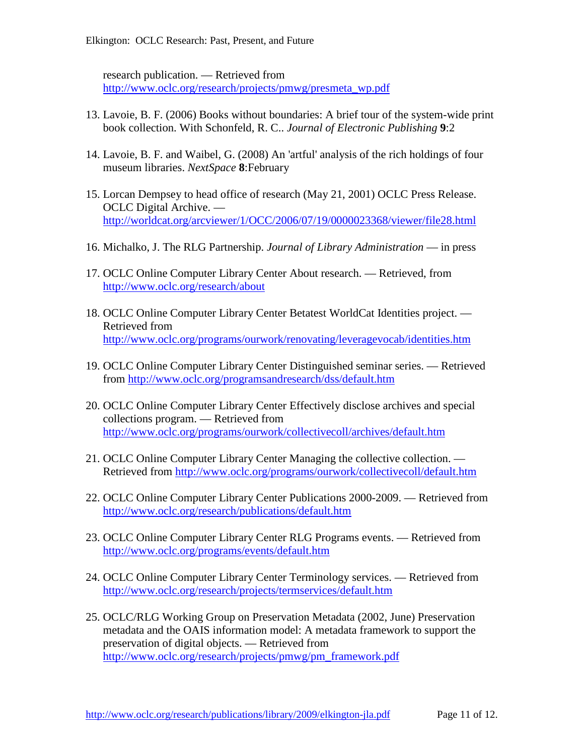research publication. — Retrieved from [http://www.oclc.org/research/projects/pmwg/presmeta\\_wp.pdf](http://www.oclc.org/research/projects/pmwg/presmeta_wp.pdf)

- 13. Lavoie, B. F. (2006) Books without boundaries: A brief tour of the system-wide print book collection. With Schonfeld, R. C.. *Journal of Electronic Publishing* **9**:2
- 14. Lavoie, B. F. and Waibel, G. (2008) An 'artful' analysis of the rich holdings of four museum libraries. *NextSpace* **8**:February
- 15. Lorcan Dempsey to head office of research (May 21, 2001) OCLC Press Release. OCLC Digital Archive. <http://worldcat.org/arcviewer/1/OCC/2006/07/19/0000023368/viewer/file28.html>
- 16. Michalko, J. The RLG Partnership. *Journal of Library Administration* in press
- 17. OCLC Online Computer Library Center About research. Retrieved, from <http://www.oclc.org/research/about>
- 18. OCLC Online Computer Library Center Betatest WorldCat Identities project. Retrieved from <http://www.oclc.org/programs/ourwork/renovating/leveragevocab/identities.htm>
- 19. OCLC Online Computer Library Center Distinguished seminar series. Retrieved from<http://www.oclc.org/programsandresearch/dss/default.htm>
- 20. OCLC Online Computer Library Center Effectively disclose archives and special collections program. — Retrieved from <http://www.oclc.org/programs/ourwork/collectivecoll/archives/default.htm>
- 21. OCLC Online Computer Library Center Managing the collective collection. Retrieved from<http://www.oclc.org/programs/ourwork/collectivecoll/default.htm>
- 22. OCLC Online Computer Library Center Publications 2000-2009. Retrieved from <http://www.oclc.org/research/publications/default.htm>
- 23. OCLC Online Computer Library Center RLG Programs events. Retrieved from <http://www.oclc.org/programs/events/default.htm>
- 24. OCLC Online Computer Library Center Terminology services. Retrieved from <http://www.oclc.org/research/projects/termservices/default.htm>
- 25. OCLC/RLG Working Group on Preservation Metadata (2002, June) Preservation metadata and the OAIS information model: A metadata framework to support the preservation of digital objects. — Retrieved from [http://www.oclc.org/research/projects/pmwg/pm\\_framework.pdf](http://www.oclc.org/research/projects/pmwg/pm_framework.pdf)